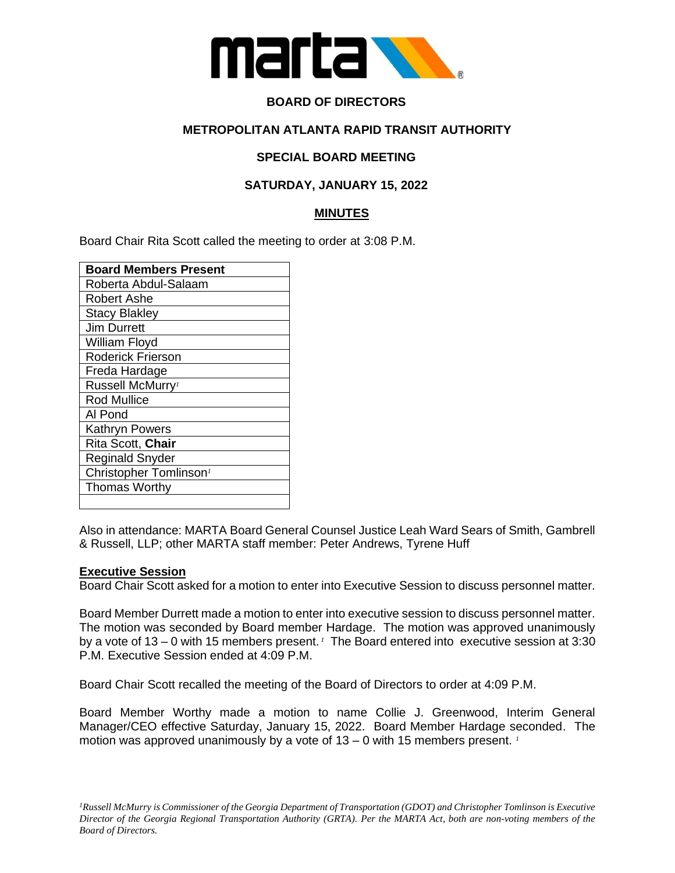

## **BOARD OF DIRECTORS**

### **METROPOLITAN ATLANTA RAPID TRANSIT AUTHORITY**

## **SPECIAL BOARD MEETING**

### **SATURDAY, JANUARY 15, 2022**

### **MINUTES**

Board Chair Rita Scott called the meeting to order at 3:08 P.M.

| <b>Board Members Present</b>       |
|------------------------------------|
| Roberta Abdul-Salaam               |
| Robert Ashe                        |
| <b>Stacy Blakley</b>               |
| Jim Durrett                        |
| William Floyd                      |
| <b>Roderick Frierson</b>           |
| Freda Hardage                      |
| Russell McMurry <sup>1</sup>       |
| <b>Rod Mullice</b>                 |
| Al Pond                            |
| <b>Kathryn Powers</b>              |
| Rita Scott, Chair                  |
| <b>Reginald Snyder</b>             |
| Christopher Tomlinson <sup>1</sup> |
| <b>Thomas Worthy</b>               |
|                                    |

Also in attendance: MARTA Board General Counsel Justice Leah Ward Sears of Smith, Gambrell & Russell, LLP; other MARTA staff member: Peter Andrews, Tyrene Huff

#### **Executive Session**

Board Chair Scott asked for a motion to enter into Executive Session to discuss personnel matter.

Board Member Durrett made a motion to enter into executive session to discuss personnel matter. The motion was seconded by Board member Hardage. The motion was approved unanimously by a vote of 13 – 0 with 15 members present.<sup>1</sup> The Board entered into executive session at 3:30 P.M. Executive Session ended at 4:09 P.M.

Board Chair Scott recalled the meeting of the Board of Directors to order at 4:09 P.M.

Board Member Worthy made a motion to name Collie J. Greenwood, Interim General Manager/CEO effective Saturday, January 15, 2022. Board Member Hardage seconded. The motion was approved unanimously by a vote of 13 – 0 with 15 members present. *<sup>1</sup>*